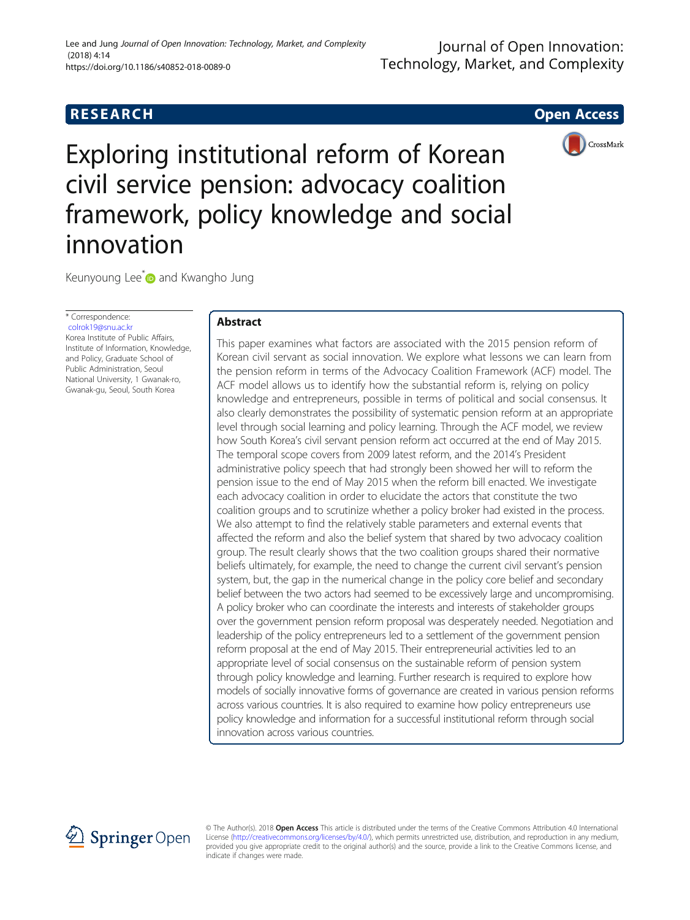# **RESEARCH RESEARCH CONSUMING ACCESS**



Exploring institutional reform of Korean civil service pension: advocacy coalition framework, policy knowledge and social innovation

Keunyoung Lee<sup>[\\*](http://orcid.org/0000-0002-3255-3422)</sup> and Kwangho Jung

\* Correspondence:

[colrok19@snu.ac.kr](mailto:colrok19@snu.ac.kr) Korea Institute of Public Affairs, Institute of Information, Knowledge, and Policy, Graduate School of Public Administration, Seoul National University, 1 Gwanak-ro, Gwanak-gu, Seoul, South Korea

# Abstract

This paper examines what factors are associated with the 2015 pension reform of Korean civil servant as social innovation. We explore what lessons we can learn from the pension reform in terms of the Advocacy Coalition Framework (ACF) model. The ACF model allows us to identify how the substantial reform is, relying on policy knowledge and entrepreneurs, possible in terms of political and social consensus. It also clearly demonstrates the possibility of systematic pension reform at an appropriate level through social learning and policy learning. Through the ACF model, we review how South Korea's civil servant pension reform act occurred at the end of May 2015. The temporal scope covers from 2009 latest reform, and the 2014's President administrative policy speech that had strongly been showed her will to reform the pension issue to the end of May 2015 when the reform bill enacted. We investigate each advocacy coalition in order to elucidate the actors that constitute the two coalition groups and to scrutinize whether a policy broker had existed in the process. We also attempt to find the relatively stable parameters and external events that affected the reform and also the belief system that shared by two advocacy coalition group. The result clearly shows that the two coalition groups shared their normative beliefs ultimately, for example, the need to change the current civil servant's pension system, but, the gap in the numerical change in the policy core belief and secondary belief between the two actors had seemed to be excessively large and uncompromising. A policy broker who can coordinate the interests and interests of stakeholder groups over the government pension reform proposal was desperately needed. Negotiation and leadership of the policy entrepreneurs led to a settlement of the government pension reform proposal at the end of May 2015. Their entrepreneurial activities led to an appropriate level of social consensus on the sustainable reform of pension system through policy knowledge and learning. Further research is required to explore how models of socially innovative forms of governance are created in various pension reforms across various countries. It is also required to examine how policy entrepreneurs use policy knowledge and information for a successful institutional reform through social innovation across various countries.



© The Author(s). 2018 Open Access This article is distributed under the terms of the Creative Commons Attribution 4.0 International License [\(http://creativecommons.org/licenses/by/4.0/](http://creativecommons.org/licenses/by/4.0/)), which permits unrestricted use, distribution, and reproduction in any medium, provided you give appropriate credit to the original author(s) and the source, provide a link to the Creative Commons license, and indicate if changes were made.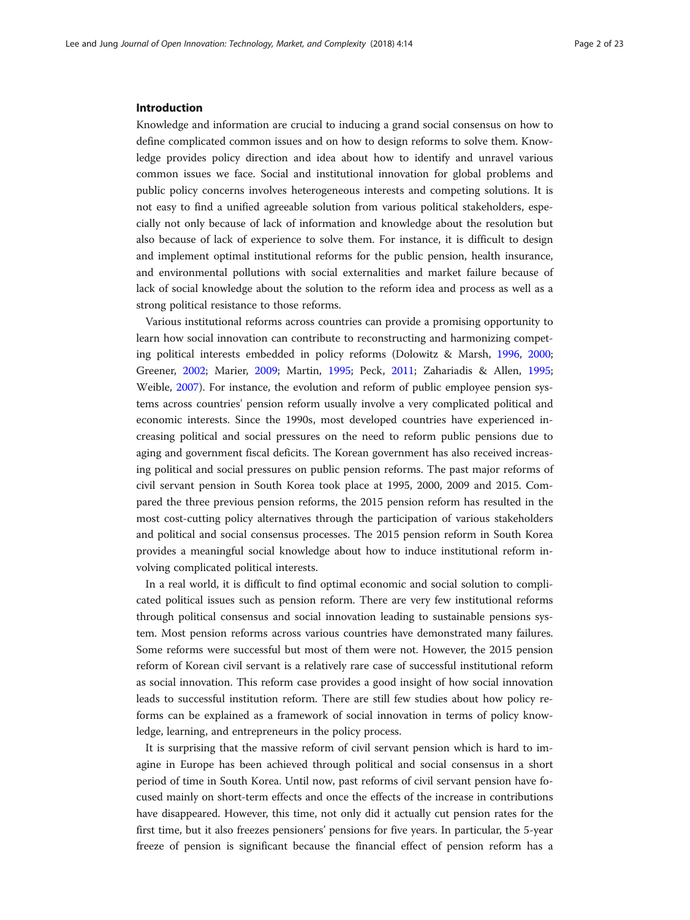#### Introduction

Knowledge and information are crucial to inducing a grand social consensus on how to define complicated common issues and on how to design reforms to solve them. Knowledge provides policy direction and idea about how to identify and unravel various common issues we face. Social and institutional innovation for global problems and public policy concerns involves heterogeneous interests and competing solutions. It is not easy to find a unified agreeable solution from various political stakeholders, especially not only because of lack of information and knowledge about the resolution but also because of lack of experience to solve them. For instance, it is difficult to design and implement optimal institutional reforms for the public pension, health insurance, and environmental pollutions with social externalities and market failure because of lack of social knowledge about the solution to the reform idea and process as well as a strong political resistance to those reforms.

Various institutional reforms across countries can provide a promising opportunity to learn how social innovation can contribute to reconstructing and harmonizing competing political interests embedded in policy reforms (Dolowitz & Marsh, [1996,](#page-21-0) [2000](#page-21-0); Greener, [2002;](#page-21-0) Marier, [2009;](#page-21-0) Martin, [1995;](#page-21-0) Peck, [2011;](#page-21-0) Zahariadis & Allen, [1995](#page-22-0); Weible, [2007\)](#page-22-0). For instance, the evolution and reform of public employee pension systems across countries' pension reform usually involve a very complicated political and economic interests. Since the 1990s, most developed countries have experienced increasing political and social pressures on the need to reform public pensions due to aging and government fiscal deficits. The Korean government has also received increasing political and social pressures on public pension reforms. The past major reforms of civil servant pension in South Korea took place at 1995, 2000, 2009 and 2015. Compared the three previous pension reforms, the 2015 pension reform has resulted in the most cost-cutting policy alternatives through the participation of various stakeholders and political and social consensus processes. The 2015 pension reform in South Korea provides a meaningful social knowledge about how to induce institutional reform involving complicated political interests.

In a real world, it is difficult to find optimal economic and social solution to complicated political issues such as pension reform. There are very few institutional reforms through political consensus and social innovation leading to sustainable pensions system. Most pension reforms across various countries have demonstrated many failures. Some reforms were successful but most of them were not. However, the 2015 pension reform of Korean civil servant is a relatively rare case of successful institutional reform as social innovation. This reform case provides a good insight of how social innovation leads to successful institution reform. There are still few studies about how policy reforms can be explained as a framework of social innovation in terms of policy knowledge, learning, and entrepreneurs in the policy process.

It is surprising that the massive reform of civil servant pension which is hard to imagine in Europe has been achieved through political and social consensus in a short period of time in South Korea. Until now, past reforms of civil servant pension have focused mainly on short-term effects and once the effects of the increase in contributions have disappeared. However, this time, not only did it actually cut pension rates for the first time, but it also freezes pensioners' pensions for five years. In particular, the 5-year freeze of pension is significant because the financial effect of pension reform has a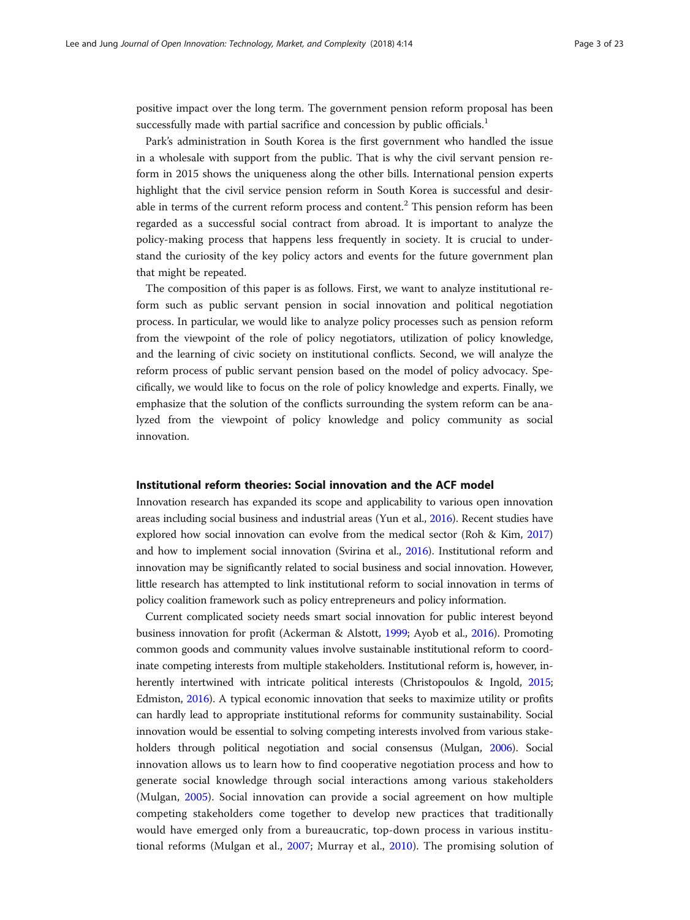positive impact over the long term. The government pension reform proposal has been successfully made with partial sacrifice and concession by public officials.<sup>1</sup>

Park's administration in South Korea is the first government who handled the issue in a wholesale with support from the public. That is why the civil servant pension reform in 2015 shows the uniqueness along the other bills. International pension experts highlight that the civil service pension reform in South Korea is successful and desirable in terms of the current reform process and content.<sup>2</sup> This pension reform has been regarded as a successful social contract from abroad. It is important to analyze the policy-making process that happens less frequently in society. It is crucial to understand the curiosity of the key policy actors and events for the future government plan that might be repeated.

The composition of this paper is as follows. First, we want to analyze institutional reform such as public servant pension in social innovation and political negotiation process. In particular, we would like to analyze policy processes such as pension reform from the viewpoint of the role of policy negotiators, utilization of policy knowledge, and the learning of civic society on institutional conflicts. Second, we will analyze the reform process of public servant pension based on the model of policy advocacy. Specifically, we would like to focus on the role of policy knowledge and experts. Finally, we emphasize that the solution of the conflicts surrounding the system reform can be analyzed from the viewpoint of policy knowledge and policy community as social innovation.

## Institutional reform theories: Social innovation and the ACF model

Innovation research has expanded its scope and applicability to various open innovation areas including social business and industrial areas (Yun et al., [2016](#page-22-0)). Recent studies have explored how social innovation can evolve from the medical sector (Roh & Kim, [2017](#page-22-0)) and how to implement social innovation (Svirina et al., [2016\)](#page-22-0). Institutional reform and innovation may be significantly related to social business and social innovation. However, little research has attempted to link institutional reform to social innovation in terms of policy coalition framework such as policy entrepreneurs and policy information.

Current complicated society needs smart social innovation for public interest beyond business innovation for profit (Ackerman & Alstott, [1999;](#page-21-0) Ayob et al., [2016](#page-21-0)). Promoting common goods and community values involve sustainable institutional reform to coordinate competing interests from multiple stakeholders. Institutional reform is, however, inherently intertwined with intricate political interests (Christopoulos & Ingold, [2015](#page-21-0); Edmiston, [2016\)](#page-21-0). A typical economic innovation that seeks to maximize utility or profits can hardly lead to appropriate institutional reforms for community sustainability. Social innovation would be essential to solving competing interests involved from various stakeholders through political negotiation and social consensus (Mulgan, [2006](#page-21-0)). Social innovation allows us to learn how to find cooperative negotiation process and how to generate social knowledge through social interactions among various stakeholders (Mulgan, [2005](#page-21-0)). Social innovation can provide a social agreement on how multiple competing stakeholders come together to develop new practices that traditionally would have emerged only from a bureaucratic, top-down process in various institutional reforms (Mulgan et al., [2007;](#page-21-0) Murray et al., [2010](#page-21-0)). The promising solution of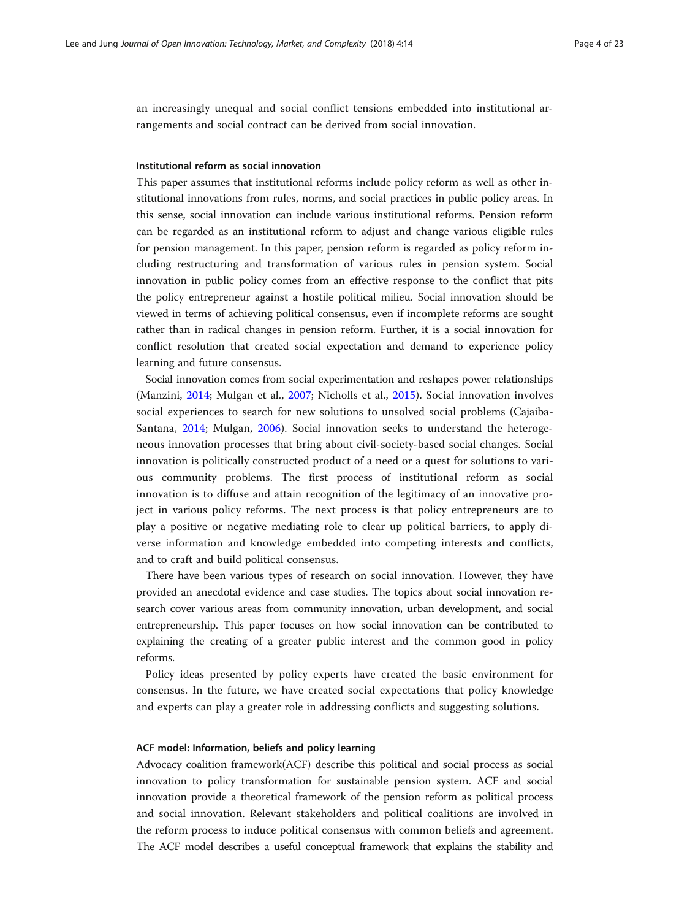an increasingly unequal and social conflict tensions embedded into institutional arrangements and social contract can be derived from social innovation.

#### Institutional reform as social innovation

This paper assumes that institutional reforms include policy reform as well as other institutional innovations from rules, norms, and social practices in public policy areas. In this sense, social innovation can include various institutional reforms. Pension reform can be regarded as an institutional reform to adjust and change various eligible rules for pension management. In this paper, pension reform is regarded as policy reform including restructuring and transformation of various rules in pension system. Social innovation in public policy comes from an effective response to the conflict that pits the policy entrepreneur against a hostile political milieu. Social innovation should be viewed in terms of achieving political consensus, even if incomplete reforms are sought rather than in radical changes in pension reform. Further, it is a social innovation for conflict resolution that created social expectation and demand to experience policy learning and future consensus.

Social innovation comes from social experimentation and reshapes power relationships (Manzini, [2014](#page-21-0); Mulgan et al., [2007;](#page-21-0) Nicholls et al., [2015\)](#page-21-0). Social innovation involves social experiences to search for new solutions to unsolved social problems (Cajaiba-Santana, [2014](#page-21-0); Mulgan, [2006\)](#page-21-0). Social innovation seeks to understand the heterogeneous innovation processes that bring about civil-society-based social changes. Social innovation is politically constructed product of a need or a quest for solutions to various community problems. The first process of institutional reform as social innovation is to diffuse and attain recognition of the legitimacy of an innovative project in various policy reforms. The next process is that policy entrepreneurs are to play a positive or negative mediating role to clear up political barriers, to apply diverse information and knowledge embedded into competing interests and conflicts, and to craft and build political consensus.

There have been various types of research on social innovation. However, they have provided an anecdotal evidence and case studies. The topics about social innovation research cover various areas from community innovation, urban development, and social entrepreneurship. This paper focuses on how social innovation can be contributed to explaining the creating of a greater public interest and the common good in policy reforms.

Policy ideas presented by policy experts have created the basic environment for consensus. In the future, we have created social expectations that policy knowledge and experts can play a greater role in addressing conflicts and suggesting solutions.

#### ACF model: Information, beliefs and policy learning

Advocacy coalition framework(ACF) describe this political and social process as social innovation to policy transformation for sustainable pension system. ACF and social innovation provide a theoretical framework of the pension reform as political process and social innovation. Relevant stakeholders and political coalitions are involved in the reform process to induce political consensus with common beliefs and agreement. The ACF model describes a useful conceptual framework that explains the stability and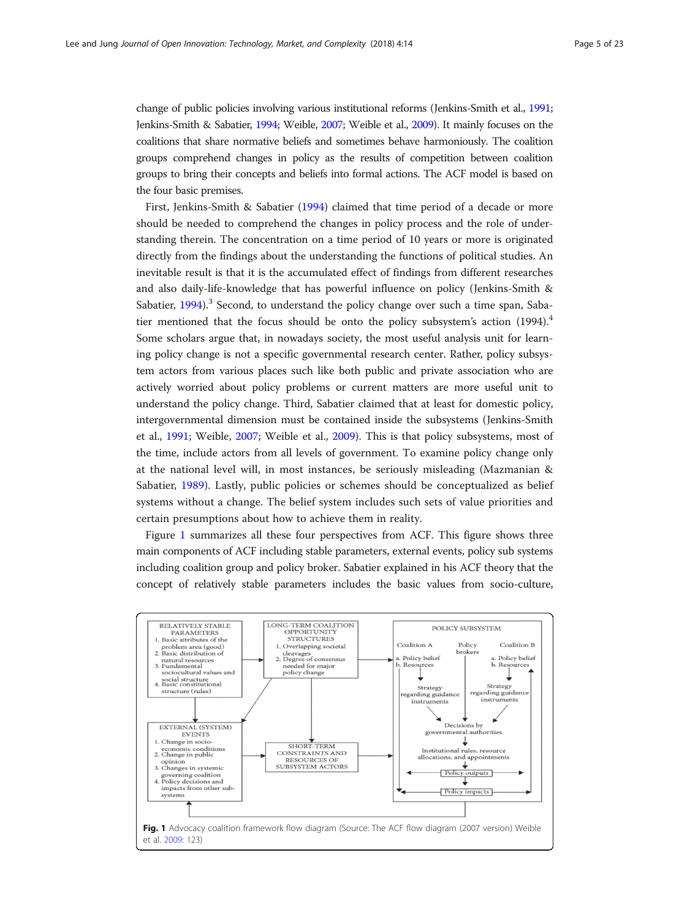change of public policies involving various institutional reforms (Jenkins-Smith et al., [1991](#page-21-0); Jenkins-Smith & Sabatier, [1994;](#page-21-0) Weible, [2007](#page-22-0); Weible et al., [2009](#page-22-0)). It mainly focuses on the coalitions that share normative beliefs and sometimes behave harmoniously. The coalition groups comprehend changes in policy as the results of competition between coalition groups to bring their concepts and beliefs into formal actions. The ACF model is based on the four basic premises.

First, Jenkins-Smith & Sabatier [\(1994](#page-21-0)) claimed that time period of a decade or more should be needed to comprehend the changes in policy process and the role of understanding therein. The concentration on a time period of 10 years or more is originated directly from the findings about the understanding the functions of political studies. An inevitable result is that it is the accumulated effect of findings from different researches and also daily-life-knowledge that has powerful influence on policy (Jenkins-Smith & Sabatier,  $1994$ ).<sup>3</sup> Second, to understand the policy change over such a time span, Sabatier mentioned that the focus should be onto the policy subsystem's action  $(1994)^4$ Some scholars argue that, in nowadays society, the most useful analysis unit for learning policy change is not a specific governmental research center. Rather, policy subsystem actors from various places such like both public and private association who are actively worried about policy problems or current matters are more useful unit to understand the policy change. Third, Sabatier claimed that at least for domestic policy, intergovernmental dimension must be contained inside the subsystems (Jenkins-Smith et al., [1991](#page-21-0); Weible, [2007](#page-22-0); Weible et al., [2009\)](#page-22-0). This is that policy subsystems, most of the time, include actors from all levels of government. To examine policy change only at the national level will, in most instances, be seriously misleading (Mazmanian & Sabatier, [1989](#page-21-0)). Lastly, public policies or schemes should be conceptualized as belief systems without a change. The belief system includes such sets of value priorities and certain presumptions about how to achieve them in reality.

Figure 1 summarizes all these four perspectives from ACF. This figure shows three main components of ACF including stable parameters, external events, policy sub systems including coalition group and policy broker. Sabatier explained in his ACF theory that the concept of relatively stable parameters includes the basic values from socio-culture,

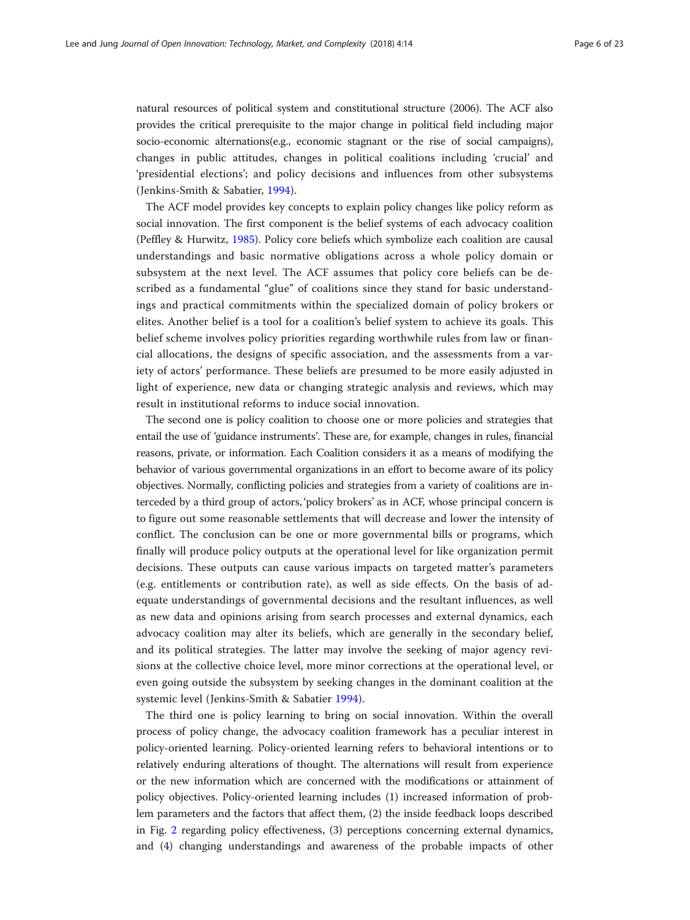natural resources of political system and constitutional structure (2006). The ACF also provides the critical prerequisite to the major change in political field including major socio-economic alternations(e.g., economic stagnant or the rise of social campaigns), changes in public attitudes, changes in political coalitions including 'crucial' and 'presidential elections'; and policy decisions and influences from other subsystems (Jenkins-Smith & Sabatier, [1994\)](#page-21-0).

The ACF model provides key concepts to explain policy changes like policy reform as social innovation. The first component is the belief systems of each advocacy coalition (Peffley & Hurwitz, [1985\)](#page-21-0). Policy core beliefs which symbolize each coalition are causal understandings and basic normative obligations across a whole policy domain or subsystem at the next level. The ACF assumes that policy core beliefs can be described as a fundamental "glue" of coalitions since they stand for basic understandings and practical commitments within the specialized domain of policy brokers or elites. Another belief is a tool for a coalition's belief system to achieve its goals. This belief scheme involves policy priorities regarding worthwhile rules from law or financial allocations, the designs of specific association, and the assessments from a variety of actors' performance. These beliefs are presumed to be more easily adjusted in light of experience, new data or changing strategic analysis and reviews, which may result in institutional reforms to induce social innovation.

The second one is policy coalition to choose one or more policies and strategies that entail the use of 'guidance instruments'. These are, for example, changes in rules, financial reasons, private, or information. Each Coalition considers it as a means of modifying the behavior of various governmental organizations in an effort to become aware of its policy objectives. Normally, conflicting policies and strategies from a variety of coalitions are interceded by a third group of actors, 'policy brokers' as in ACF, whose principal concern is to figure out some reasonable settlements that will decrease and lower the intensity of conflict. The conclusion can be one or more governmental bills or programs, which finally will produce policy outputs at the operational level for like organization permit decisions. These outputs can cause various impacts on targeted matter's parameters (e.g. entitlements or contribution rate), as well as side effects. On the basis of adequate understandings of governmental decisions and the resultant influences, as well as new data and opinions arising from search processes and external dynamics, each advocacy coalition may alter its beliefs, which are generally in the secondary belief, and its political strategies. The latter may involve the seeking of major agency revisions at the collective choice level, more minor corrections at the operational level, or even going outside the subsystem by seeking changes in the dominant coalition at the systemic level (Jenkins-Smith & Sabatier [1994](#page-21-0)).

The third one is policy learning to bring on social innovation. Within the overall process of policy change, the advocacy coalition framework has a peculiar interest in policy-oriented learning. Policy-oriented learning refers to behavioral intentions or to relatively enduring alterations of thought. The alternations will result from experience or the new information which are concerned with the modifications or attainment of policy objectives. Policy-oriented learning includes (1) increased information of problem parameters and the factors that affect them, (2) the inside feedback loops described in Fig. [2](#page-6-0) regarding policy effectiveness, (3) perceptions concerning external dynamics, and (4) changing understandings and awareness of the probable impacts of other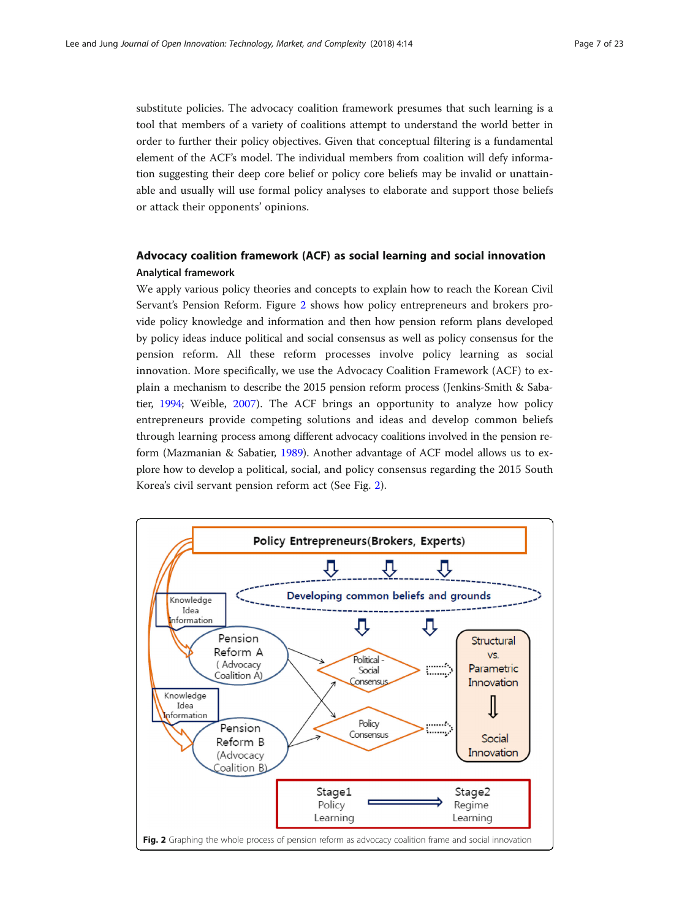<span id="page-6-0"></span>substitute policies. The advocacy coalition framework presumes that such learning is a tool that members of a variety of coalitions attempt to understand the world better in order to further their policy objectives. Given that conceptual filtering is a fundamental element of the ACF's model. The individual members from coalition will defy information suggesting their deep core belief or policy core beliefs may be invalid or unattainable and usually will use formal policy analyses to elaborate and support those beliefs or attack their opponents' opinions.

# Advocacy coalition framework (ACF) as social learning and social innovation Analytical framework

We apply various policy theories and concepts to explain how to reach the Korean Civil Servant's Pension Reform. Figure 2 shows how policy entrepreneurs and brokers provide policy knowledge and information and then how pension reform plans developed by policy ideas induce political and social consensus as well as policy consensus for the pension reform. All these reform processes involve policy learning as social innovation. More specifically, we use the Advocacy Coalition Framework (ACF) to explain a mechanism to describe the 2015 pension reform process (Jenkins-Smith & Sabatier, [1994;](#page-21-0) Weible, [2007](#page-22-0)). The ACF brings an opportunity to analyze how policy entrepreneurs provide competing solutions and ideas and develop common beliefs through learning process among different advocacy coalitions involved in the pension reform (Mazmanian & Sabatier, [1989\)](#page-21-0). Another advantage of ACF model allows us to explore how to develop a political, social, and policy consensus regarding the 2015 South Korea's civil servant pension reform act (See Fig. 2).

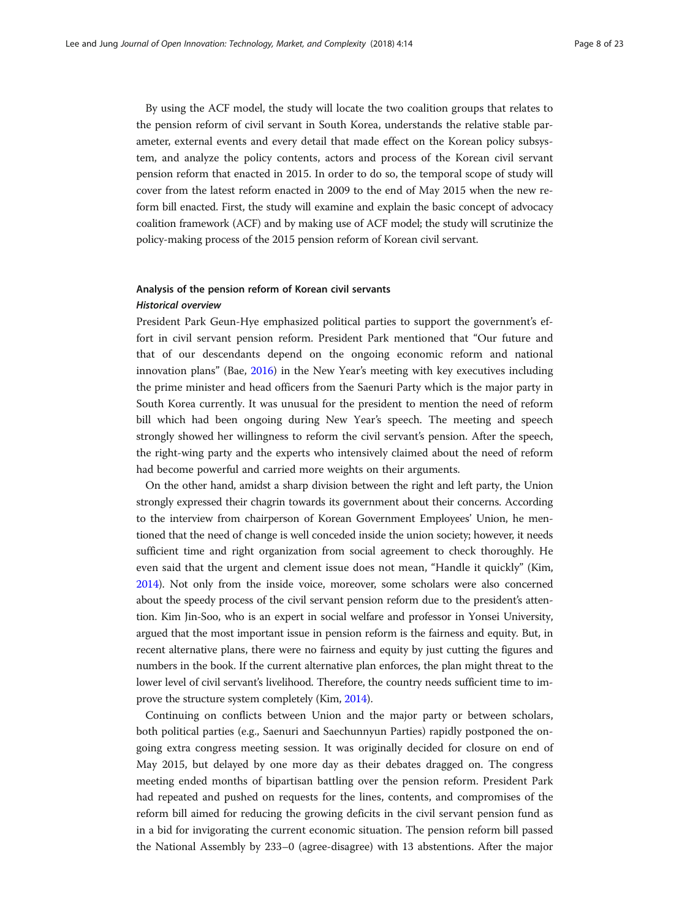By using the ACF model, the study will locate the two coalition groups that relates to the pension reform of civil servant in South Korea, understands the relative stable parameter, external events and every detail that made effect on the Korean policy subsystem, and analyze the policy contents, actors and process of the Korean civil servant pension reform that enacted in 2015. In order to do so, the temporal scope of study will cover from the latest reform enacted in 2009 to the end of May 2015 when the new reform bill enacted. First, the study will examine and explain the basic concept of advocacy coalition framework (ACF) and by making use of ACF model; the study will scrutinize the policy-making process of the 2015 pension reform of Korean civil servant.

# Analysis of the pension reform of Korean civil servants Historical overview

President Park Geun-Hye emphasized political parties to support the government's effort in civil servant pension reform. President Park mentioned that "Our future and that of our descendants depend on the ongoing economic reform and national innovation plans" (Bae, [2016](#page-21-0)) in the New Year's meeting with key executives including the prime minister and head officers from the Saenuri Party which is the major party in South Korea currently. It was unusual for the president to mention the need of reform bill which had been ongoing during New Year's speech. The meeting and speech strongly showed her willingness to reform the civil servant's pension. After the speech, the right-wing party and the experts who intensively claimed about the need of reform had become powerful and carried more weights on their arguments.

On the other hand, amidst a sharp division between the right and left party, the Union strongly expressed their chagrin towards its government about their concerns. According to the interview from chairperson of Korean Government Employees' Union, he mentioned that the need of change is well conceded inside the union society; however, it needs sufficient time and right organization from social agreement to check thoroughly. He even said that the urgent and clement issue does not mean, "Handle it quickly" (Kim, [2014\)](#page-21-0). Not only from the inside voice, moreover, some scholars were also concerned about the speedy process of the civil servant pension reform due to the president's attention. Kim Jin-Soo, who is an expert in social welfare and professor in Yonsei University, argued that the most important issue in pension reform is the fairness and equity. But, in recent alternative plans, there were no fairness and equity by just cutting the figures and numbers in the book. If the current alternative plan enforces, the plan might threat to the lower level of civil servant's livelihood. Therefore, the country needs sufficient time to improve the structure system completely (Kim, [2014\)](#page-21-0).

Continuing on conflicts between Union and the major party or between scholars, both political parties (e.g., Saenuri and Saechunnyun Parties) rapidly postponed the ongoing extra congress meeting session. It was originally decided for closure on end of May 2015, but delayed by one more day as their debates dragged on. The congress meeting ended months of bipartisan battling over the pension reform. President Park had repeated and pushed on requests for the lines, contents, and compromises of the reform bill aimed for reducing the growing deficits in the civil servant pension fund as in a bid for invigorating the current economic situation. The pension reform bill passed the National Assembly by 233–0 (agree-disagree) with 13 abstentions. After the major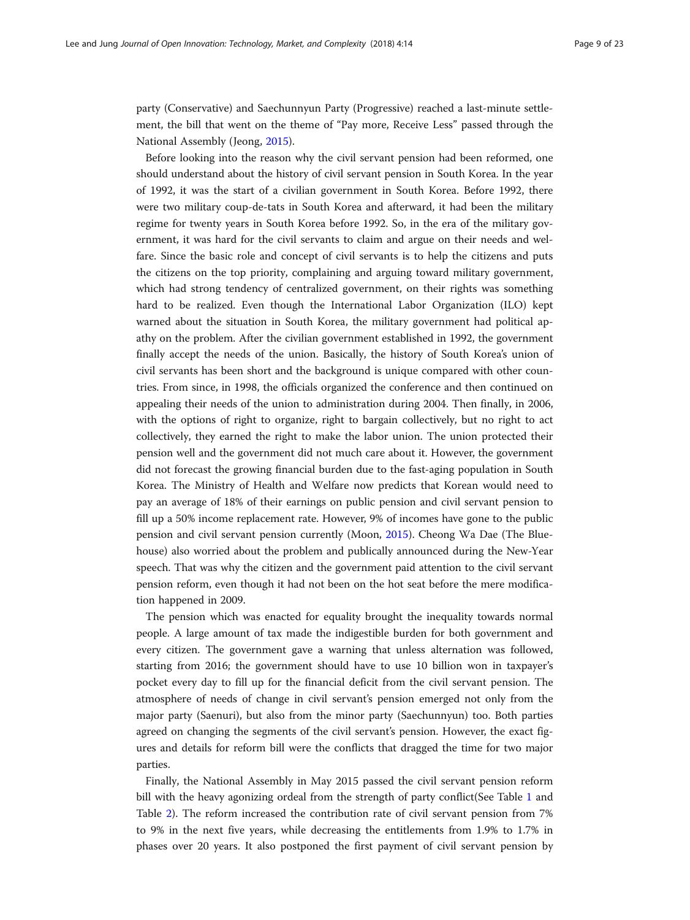party (Conservative) and Saechunnyun Party (Progressive) reached a last-minute settlement, the bill that went on the theme of "Pay more, Receive Less" passed through the National Assembly (Jeong, [2015](#page-21-0)).

Before looking into the reason why the civil servant pension had been reformed, one should understand about the history of civil servant pension in South Korea. In the year of 1992, it was the start of a civilian government in South Korea. Before 1992, there were two military coup-de-tats in South Korea and afterward, it had been the military regime for twenty years in South Korea before 1992. So, in the era of the military government, it was hard for the civil servants to claim and argue on their needs and welfare. Since the basic role and concept of civil servants is to help the citizens and puts the citizens on the top priority, complaining and arguing toward military government, which had strong tendency of centralized government, on their rights was something hard to be realized. Even though the International Labor Organization (ILO) kept warned about the situation in South Korea, the military government had political apathy on the problem. After the civilian government established in 1992, the government finally accept the needs of the union. Basically, the history of South Korea's union of civil servants has been short and the background is unique compared with other countries. From since, in 1998, the officials organized the conference and then continued on appealing their needs of the union to administration during 2004. Then finally, in 2006, with the options of right to organize, right to bargain collectively, but no right to act collectively, they earned the right to make the labor union. The union protected their pension well and the government did not much care about it. However, the government did not forecast the growing financial burden due to the fast-aging population in South Korea. The Ministry of Health and Welfare now predicts that Korean would need to pay an average of 18% of their earnings on public pension and civil servant pension to fill up a 50% income replacement rate. However, 9% of incomes have gone to the public pension and civil servant pension currently (Moon, [2015\)](#page-21-0). Cheong Wa Dae (The Bluehouse) also worried about the problem and publically announced during the New-Year speech. That was why the citizen and the government paid attention to the civil servant pension reform, even though it had not been on the hot seat before the mere modification happened in 2009.

The pension which was enacted for equality brought the inequality towards normal people. A large amount of tax made the indigestible burden for both government and every citizen. The government gave a warning that unless alternation was followed, starting from 2016; the government should have to use 10 billion won in taxpayer's pocket every day to fill up for the financial deficit from the civil servant pension. The atmosphere of needs of change in civil servant's pension emerged not only from the major party (Saenuri), but also from the minor party (Saechunnyun) too. Both parties agreed on changing the segments of the civil servant's pension. However, the exact figures and details for reform bill were the conflicts that dragged the time for two major parties.

Finally, the National Assembly in May 2015 passed the civil servant pension reform bill with the heavy agonizing ordeal from the strength of party conflict(See Table [1](#page-9-0) and Table [2](#page-9-0)). The reform increased the contribution rate of civil servant pension from 7% to 9% in the next five years, while decreasing the entitlements from 1.9% to 1.7% in phases over 20 years. It also postponed the first payment of civil servant pension by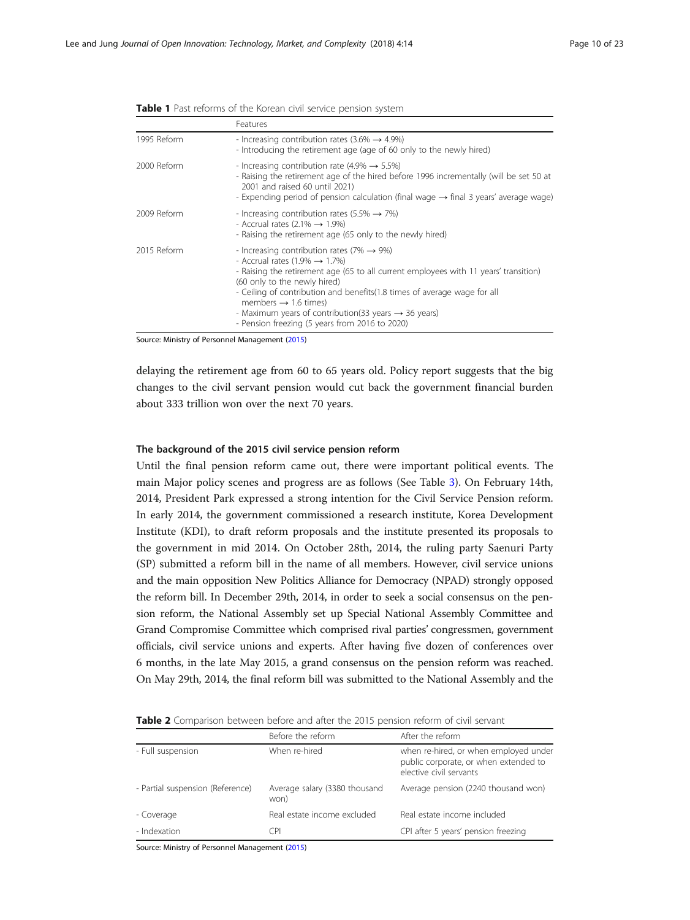|             | Features                                                                                                                                                                                                                                                                                                                                                                                                                                                          |
|-------------|-------------------------------------------------------------------------------------------------------------------------------------------------------------------------------------------------------------------------------------------------------------------------------------------------------------------------------------------------------------------------------------------------------------------------------------------------------------------|
| 1995 Reform | - Increasing contribution rates (3.6% $\rightarrow$ 4.9%)<br>- Introducing the retirement age (age of 60 only to the newly hired)                                                                                                                                                                                                                                                                                                                                 |
| 2000 Reform | - Increasing contribution rate (4.9% $\rightarrow$ 5.5%)<br>- Raising the retirement age of the hired before 1996 incrementally (will be set 50 at<br>2001 and raised 60 until 2021)<br>- Expending period of pension calculation (final wage $\rightarrow$ final 3 years' average wage)                                                                                                                                                                          |
| 2009 Reform | - Increasing contribution rates (5.5% $\rightarrow$ 7%)<br>- Accrual rates $(2.1\% \rightarrow 1.9\%)$<br>- Raising the retirement age (65 only to the newly hired)                                                                                                                                                                                                                                                                                               |
| 2015 Reform | - Increasing contribution rates (7% $\rightarrow$ 9%)<br>- Accrual rates (1.9% $\rightarrow$ 1.7%)<br>- Raising the retirement age (65 to all current employees with 11 years' transition)<br>(60 only to the newly hired)<br>- Ceiling of contribution and benefits (1.8 times of average wage for all<br>members $\rightarrow$ 1.6 times)<br>- Maximum years of contribution(33 years $\rightarrow$ 36 years)<br>- Pension freezing (5 years from 2016 to 2020) |

<span id="page-9-0"></span>Table 1 Past reforms of the Korean civil service pension system

Source: Ministry of Personnel Management ([2015\)](#page-21-0)

delaying the retirement age from 60 to 65 years old. Policy report suggests that the big changes to the civil servant pension would cut back the government financial burden about 333 trillion won over the next 70 years.

## The background of the 2015 civil service pension reform

Until the final pension reform came out, there were important political events. The main Major policy scenes and progress are as follows (See Table [3\)](#page-10-0). On February 14th, 2014, President Park expressed a strong intention for the Civil Service Pension reform. In early 2014, the government commissioned a research institute, Korea Development Institute (KDI), to draft reform proposals and the institute presented its proposals to the government in mid 2014. On October 28th, 2014, the ruling party Saenuri Party (SP) submitted a reform bill in the name of all members. However, civil service unions and the main opposition New Politics Alliance for Democracy (NPAD) strongly opposed the reform bill. In December 29th, 2014, in order to seek a social consensus on the pension reform, the National Assembly set up Special National Assembly Committee and Grand Compromise Committee which comprised rival parties' congressmen, government officials, civil service unions and experts. After having five dozen of conferences over 6 months, in the late May 2015, a grand consensus on the pension reform was reached. On May 29th, 2014, the final reform bill was submitted to the National Assembly and the

Table 2 Comparison between before and after the 2015 pension reform of civil servant

|                                  | Before the reform                     | After the reform                                                                                          |
|----------------------------------|---------------------------------------|-----------------------------------------------------------------------------------------------------------|
| - Full suspension                | When re-hired                         | when re-hired, or when employed under<br>public corporate, or when extended to<br>elective civil servants |
| - Partial suspension (Reference) | Average salary (3380 thousand<br>won) | Average pension (2240 thousand won)                                                                       |
| - Coverage                       | Real estate income excluded           | Real estate income included                                                                               |
| - Indexation                     | (PI                                   | CPI after 5 years' pension freezing                                                                       |

Source: Ministry of Personnel Management ([2015\)](#page-21-0)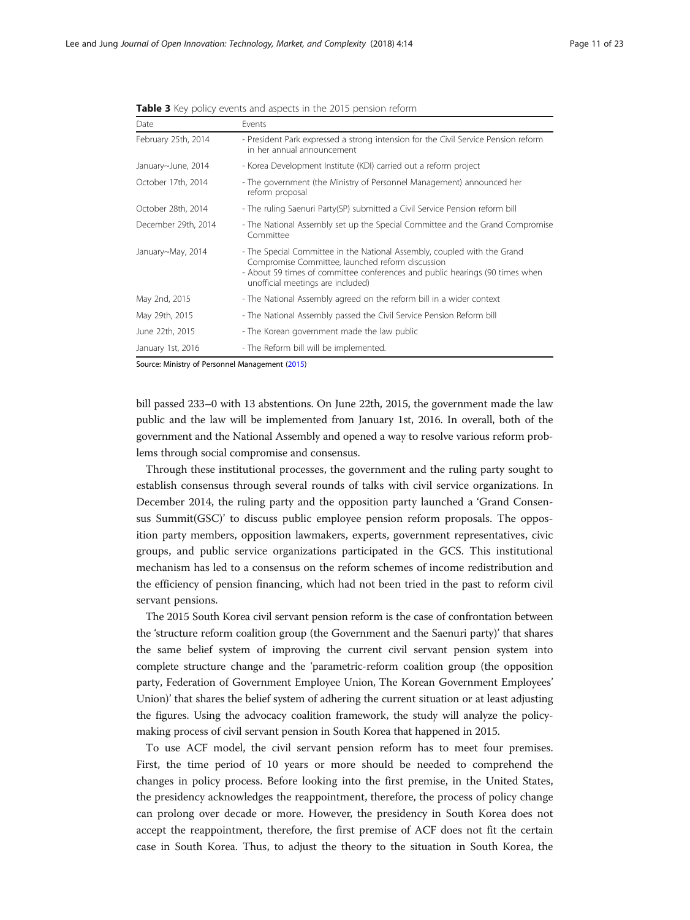| Date                | Events                                                                                                                                                                                                                                            |
|---------------------|---------------------------------------------------------------------------------------------------------------------------------------------------------------------------------------------------------------------------------------------------|
| February 25th, 2014 | - President Park expressed a strong intension for the Civil Service Pension reform<br>in her annual announcement                                                                                                                                  |
| January~June, 2014  | - Korea Development Institute (KDI) carried out a reform project                                                                                                                                                                                  |
| October 17th, 2014  | - The government (the Ministry of Personnel Management) announced her<br>reform proposal                                                                                                                                                          |
| October 28th, 2014  | - The ruling Saenuri Party(SP) submitted a Civil Service Pension reform bill                                                                                                                                                                      |
| December 29th, 2014 | - The National Assembly set up the Special Committee and the Grand Compromise<br>Committee                                                                                                                                                        |
| January~May, 2014   | - The Special Committee in the National Assembly, coupled with the Grand<br>Compromise Committee, launched reform discussion<br>- About 59 times of committee conferences and public hearings (90 times when<br>unofficial meetings are included) |
| May 2nd, 2015       | - The National Assembly agreed on the reform bill in a wider context                                                                                                                                                                              |
| May 29th, 2015      | - The National Assembly passed the Civil Service Pension Reform bill                                                                                                                                                                              |
| June 22th, 2015     | - The Korean government made the law public                                                                                                                                                                                                       |
| January 1st, 2016   | - The Reform bill will be implemented.                                                                                                                                                                                                            |

<span id="page-10-0"></span>Table 3 Key policy events and aspects in the 2015 pension reform

Source: Ministry of Personnel Management ([2015\)](#page-21-0)

bill passed 233–0 with 13 abstentions. On June 22th, 2015, the government made the law public and the law will be implemented from January 1st, 2016. In overall, both of the government and the National Assembly and opened a way to resolve various reform problems through social compromise and consensus.

Through these institutional processes, the government and the ruling party sought to establish consensus through several rounds of talks with civil service organizations. In December 2014, the ruling party and the opposition party launched a 'Grand Consensus Summit(GSC)' to discuss public employee pension reform proposals. The opposition party members, opposition lawmakers, experts, government representatives, civic groups, and public service organizations participated in the GCS. This institutional mechanism has led to a consensus on the reform schemes of income redistribution and the efficiency of pension financing, which had not been tried in the past to reform civil servant pensions.

The 2015 South Korea civil servant pension reform is the case of confrontation between the 'structure reform coalition group (the Government and the Saenuri party)' that shares the same belief system of improving the current civil servant pension system into complete structure change and the 'parametric-reform coalition group (the opposition party, Federation of Government Employee Union, The Korean Government Employees' Union)' that shares the belief system of adhering the current situation or at least adjusting the figures. Using the advocacy coalition framework, the study will analyze the policymaking process of civil servant pension in South Korea that happened in 2015.

To use ACF model, the civil servant pension reform has to meet four premises. First, the time period of 10 years or more should be needed to comprehend the changes in policy process. Before looking into the first premise, in the United States, the presidency acknowledges the reappointment, therefore, the process of policy change can prolong over decade or more. However, the presidency in South Korea does not accept the reappointment, therefore, the first premise of ACF does not fit the certain case in South Korea. Thus, to adjust the theory to the situation in South Korea, the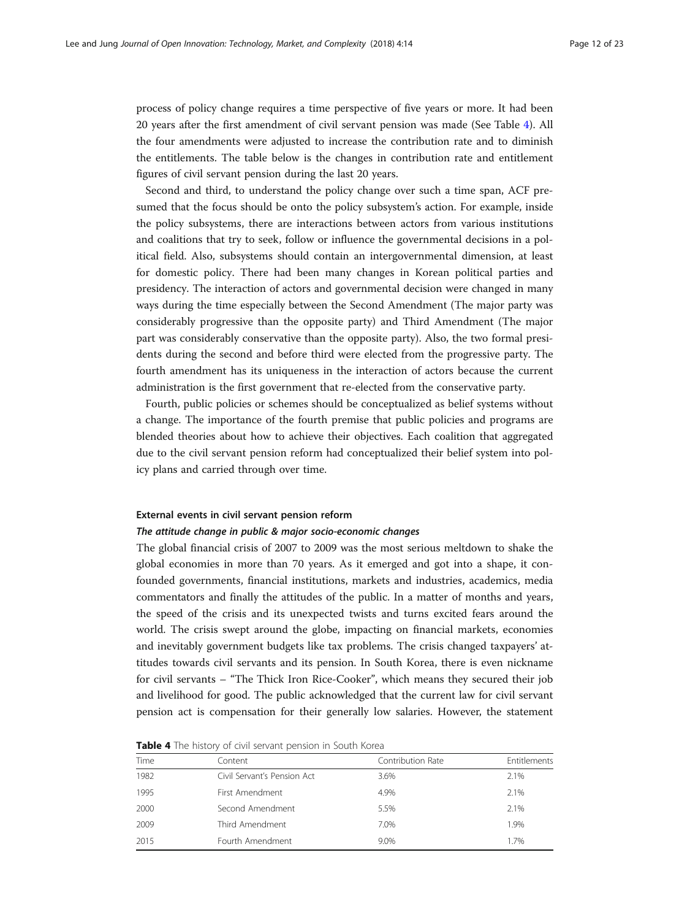process of policy change requires a time perspective of five years or more. It had been 20 years after the first amendment of civil servant pension was made (See Table 4). All the four amendments were adjusted to increase the contribution rate and to diminish the entitlements. The table below is the changes in contribution rate and entitlement figures of civil servant pension during the last 20 years.

Second and third, to understand the policy change over such a time span, ACF presumed that the focus should be onto the policy subsystem's action. For example, inside the policy subsystems, there are interactions between actors from various institutions and coalitions that try to seek, follow or influence the governmental decisions in a political field. Also, subsystems should contain an intergovernmental dimension, at least for domestic policy. There had been many changes in Korean political parties and presidency. The interaction of actors and governmental decision were changed in many ways during the time especially between the Second Amendment (The major party was considerably progressive than the opposite party) and Third Amendment (The major part was considerably conservative than the opposite party). Also, the two formal presidents during the second and before third were elected from the progressive party. The fourth amendment has its uniqueness in the interaction of actors because the current administration is the first government that re-elected from the conservative party.

Fourth, public policies or schemes should be conceptualized as belief systems without a change. The importance of the fourth premise that public policies and programs are blended theories about how to achieve their objectives. Each coalition that aggregated due to the civil servant pension reform had conceptualized their belief system into policy plans and carried through over time.

## External events in civil servant pension reform

## The attitude change in public & major socio-economic changes

The global financial crisis of 2007 to 2009 was the most serious meltdown to shake the global economies in more than 70 years. As it emerged and got into a shape, it confounded governments, financial institutions, markets and industries, academics, media commentators and finally the attitudes of the public. In a matter of months and years, the speed of the crisis and its unexpected twists and turns excited fears around the world. The crisis swept around the globe, impacting on financial markets, economies and inevitably government budgets like tax problems. The crisis changed taxpayers' attitudes towards civil servants and its pension. In South Korea, there is even nickname for civil servants – "The Thick Iron Rice-Cooker", which means they secured their job and livelihood for good. The public acknowledged that the current law for civil servant pension act is compensation for their generally low salaries. However, the statement

Table 4 The history of civil servant pension in South Korea

| Time | Content                     | Contribution Rate | Entitlements |
|------|-----------------------------|-------------------|--------------|
| 1982 | Civil Servant's Pension Act | 3.6%              | 2.1%         |
| 1995 | First Amendment             | 4.9%              | 2.1%         |
| 2000 | Second Amendment            | 5.5%              | 2.1%         |
| 2009 | Third Amendment             | 7.0%              | 1.9%         |
| 2015 | Fourth Amendment            | 9.0%              | 1.7%         |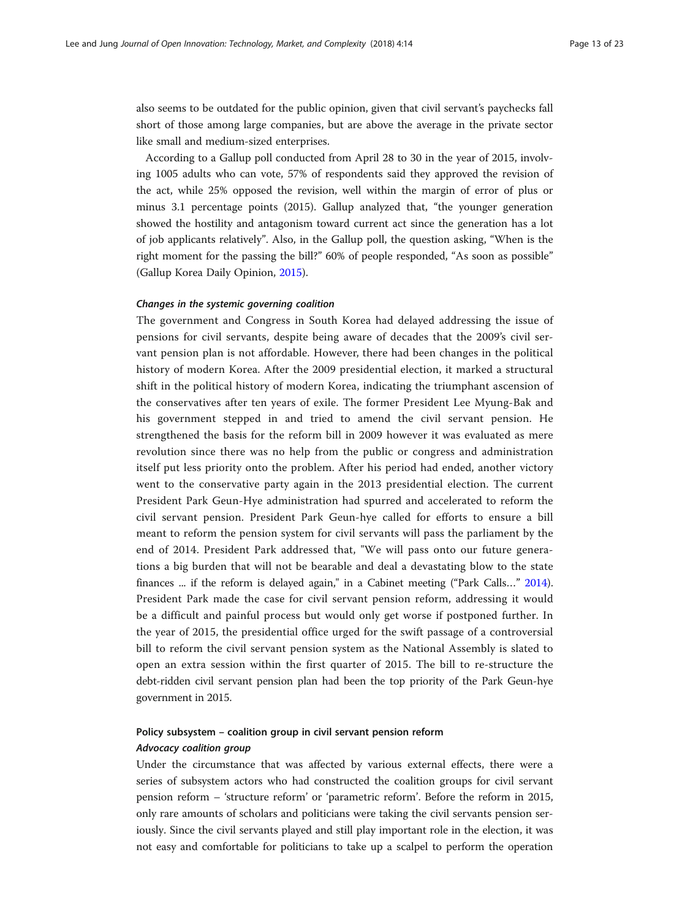also seems to be outdated for the public opinion, given that civil servant's paychecks fall short of those among large companies, but are above the average in the private sector like small and medium-sized enterprises.

According to a Gallup poll conducted from April 28 to 30 in the year of 2015, involving 1005 adults who can vote, 57% of respondents said they approved the revision of the act, while 25% opposed the revision, well within the margin of error of plus or minus 3.1 percentage points (2015). Gallup analyzed that, "the younger generation showed the hostility and antagonism toward current act since the generation has a lot of job applicants relatively". Also, in the Gallup poll, the question asking, "When is the right moment for the passing the bill?" 60% of people responded, "As soon as possible" (Gallup Korea Daily Opinion, [2015\)](#page-21-0).

### Changes in the systemic governing coalition

The government and Congress in South Korea had delayed addressing the issue of pensions for civil servants, despite being aware of decades that the 2009's civil servant pension plan is not affordable. However, there had been changes in the political history of modern Korea. After the 2009 presidential election, it marked a structural shift in the political history of modern Korea, indicating the triumphant ascension of the conservatives after ten years of exile. The former President Lee Myung-Bak and his government stepped in and tried to amend the civil servant pension. He strengthened the basis for the reform bill in 2009 however it was evaluated as mere revolution since there was no help from the public or congress and administration itself put less priority onto the problem. After his period had ended, another victory went to the conservative party again in the 2013 presidential election. The current President Park Geun-Hye administration had spurred and accelerated to reform the civil servant pension. President Park Geun-hye called for efforts to ensure a bill meant to reform the pension system for civil servants will pass the parliament by the end of 2014. President Park addressed that, "We will pass onto our future generations a big burden that will not be bearable and deal a devastating blow to the state finances ... if the reform is delayed again," in a Cabinet meeting ("Park Calls…" [2014](#page-22-0)). President Park made the case for civil servant pension reform, addressing it would be a difficult and painful process but would only get worse if postponed further. In the year of 2015, the presidential office urged for the swift passage of a controversial bill to reform the civil servant pension system as the National Assembly is slated to open an extra session within the first quarter of 2015. The bill to re-structure the debt-ridden civil servant pension plan had been the top priority of the Park Geun-hye government in 2015.

# Policy subsystem – coalition group in civil servant pension reform Advocacy coalition group

Under the circumstance that was affected by various external effects, there were a series of subsystem actors who had constructed the coalition groups for civil servant pension reform – 'structure reform' or 'parametric reform'. Before the reform in 2015, only rare amounts of scholars and politicians were taking the civil servants pension seriously. Since the civil servants played and still play important role in the election, it was not easy and comfortable for politicians to take up a scalpel to perform the operation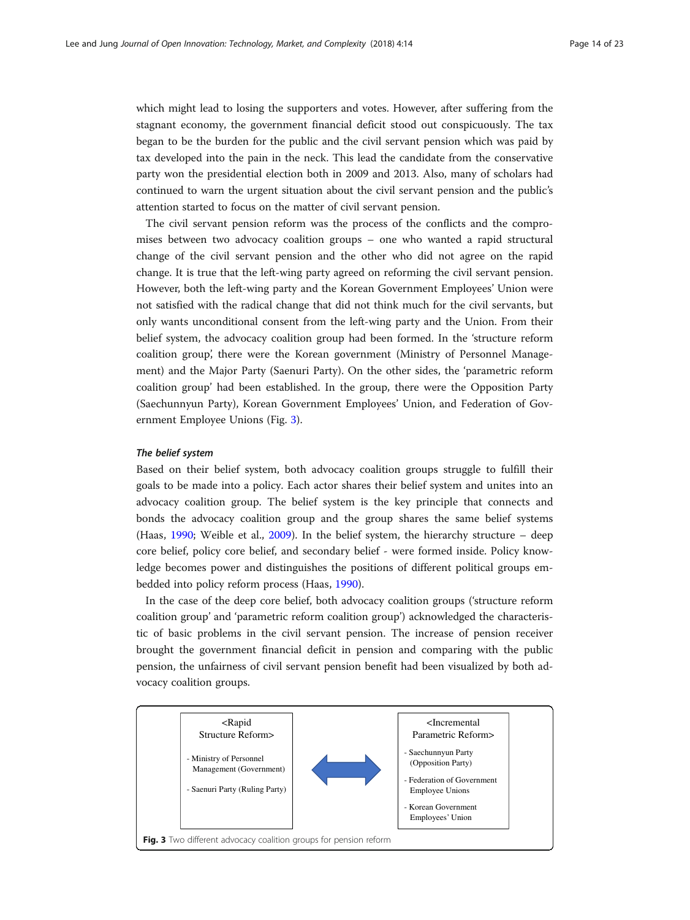which might lead to losing the supporters and votes. However, after suffering from the stagnant economy, the government financial deficit stood out conspicuously. The tax began to be the burden for the public and the civil servant pension which was paid by tax developed into the pain in the neck. This lead the candidate from the conservative party won the presidential election both in 2009 and 2013. Also, many of scholars had continued to warn the urgent situation about the civil servant pension and the public's attention started to focus on the matter of civil servant pension.

The civil servant pension reform was the process of the conflicts and the compromises between two advocacy coalition groups – one who wanted a rapid structural change of the civil servant pension and the other who did not agree on the rapid change. It is true that the left-wing party agreed on reforming the civil servant pension. However, both the left-wing party and the Korean Government Employees' Union were not satisfied with the radical change that did not think much for the civil servants, but only wants unconditional consent from the left-wing party and the Union. From their belief system, the advocacy coalition group had been formed. In the 'structure reform coalition group', there were the Korean government (Ministry of Personnel Management) and the Major Party (Saenuri Party). On the other sides, the 'parametric reform coalition group' had been established. In the group, there were the Opposition Party (Saechunnyun Party), Korean Government Employees' Union, and Federation of Government Employee Unions (Fig. 3).

#### The belief system

Based on their belief system, both advocacy coalition groups struggle to fulfill their goals to be made into a policy. Each actor shares their belief system and unites into an advocacy coalition group. The belief system is the key principle that connects and bonds the advocacy coalition group and the group shares the same belief systems (Haas, [1990;](#page-21-0) Weible et al., [2009\)](#page-22-0). In the belief system, the hierarchy structure – deep core belief, policy core belief, and secondary belief - were formed inside. Policy knowledge becomes power and distinguishes the positions of different political groups embedded into policy reform process (Haas, [1990](#page-21-0)).

In the case of the deep core belief, both advocacy coalition groups ('structure reform coalition group' and 'parametric reform coalition group') acknowledged the characteristic of basic problems in the civil servant pension. The increase of pension receiver brought the government financial deficit in pension and comparing with the public pension, the unfairness of civil servant pension benefit had been visualized by both advocacy coalition groups.

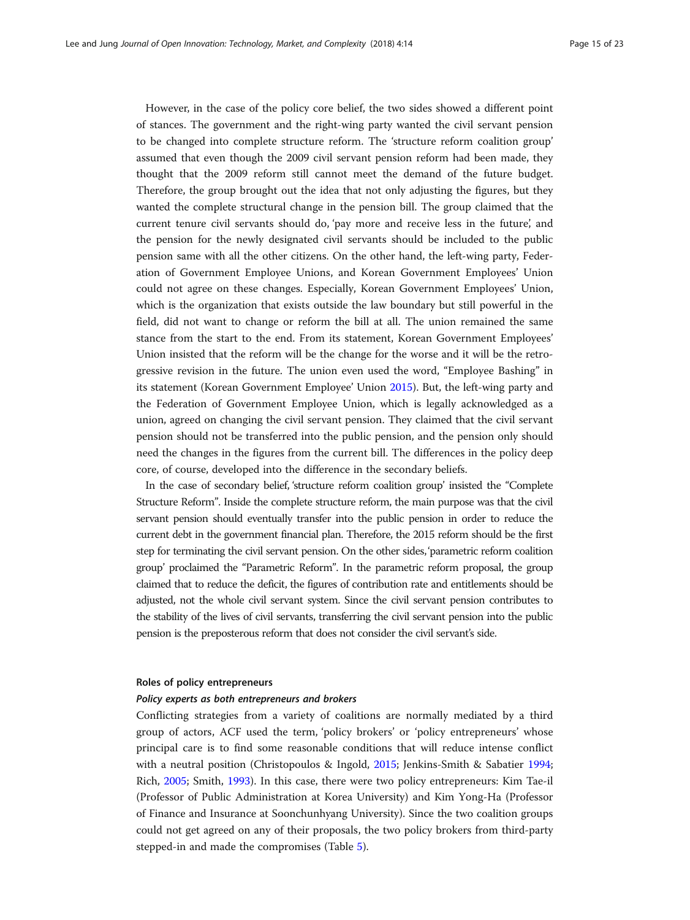However, in the case of the policy core belief, the two sides showed a different point of stances. The government and the right-wing party wanted the civil servant pension to be changed into complete structure reform. The 'structure reform coalition group' assumed that even though the 2009 civil servant pension reform had been made, they thought that the 2009 reform still cannot meet the demand of the future budget. Therefore, the group brought out the idea that not only adjusting the figures, but they wanted the complete structural change in the pension bill. The group claimed that the current tenure civil servants should do, 'pay more and receive less in the future', and the pension for the newly designated civil servants should be included to the public pension same with all the other citizens. On the other hand, the left-wing party, Federation of Government Employee Unions, and Korean Government Employees' Union could not agree on these changes. Especially, Korean Government Employees' Union, which is the organization that exists outside the law boundary but still powerful in the field, did not want to change or reform the bill at all. The union remained the same stance from the start to the end. From its statement, Korean Government Employees' Union insisted that the reform will be the change for the worse and it will be the retrogressive revision in the future. The union even used the word, "Employee Bashing" in its statement (Korean Government Employee' Union [2015](#page-21-0)). But, the left-wing party and the Federation of Government Employee Union, which is legally acknowledged as a union, agreed on changing the civil servant pension. They claimed that the civil servant pension should not be transferred into the public pension, and the pension only should need the changes in the figures from the current bill. The differences in the policy deep core, of course, developed into the difference in the secondary beliefs.

In the case of secondary belief, 'structure reform coalition group' insisted the "Complete Structure Reform". Inside the complete structure reform, the main purpose was that the civil servant pension should eventually transfer into the public pension in order to reduce the current debt in the government financial plan. Therefore, the 2015 reform should be the first step for terminating the civil servant pension. On the other sides,'parametric reform coalition group' proclaimed the "Parametric Reform". In the parametric reform proposal, the group claimed that to reduce the deficit, the figures of contribution rate and entitlements should be adjusted, not the whole civil servant system. Since the civil servant pension contributes to the stability of the lives of civil servants, transferring the civil servant pension into the public pension is the preposterous reform that does not consider the civil servant's side.

#### Roles of policy entrepreneurs

## Policy experts as both entrepreneurs and brokers

Conflicting strategies from a variety of coalitions are normally mediated by a third group of actors, ACF used the term, 'policy brokers' or 'policy entrepreneurs' whose principal care is to find some reasonable conditions that will reduce intense conflict with a neutral position (Christopoulos & Ingold, [2015](#page-21-0); Jenkins-Smith & Sabatier [1994](#page-21-0); Rich, [2005](#page-21-0); Smith, [1993](#page-22-0)). In this case, there were two policy entrepreneurs: Kim Tae-il (Professor of Public Administration at Korea University) and Kim Yong-Ha (Professor of Finance and Insurance at Soonchunhyang University). Since the two coalition groups could not get agreed on any of their proposals, the two policy brokers from third-party stepped-in and made the compromises (Table [5](#page-15-0)).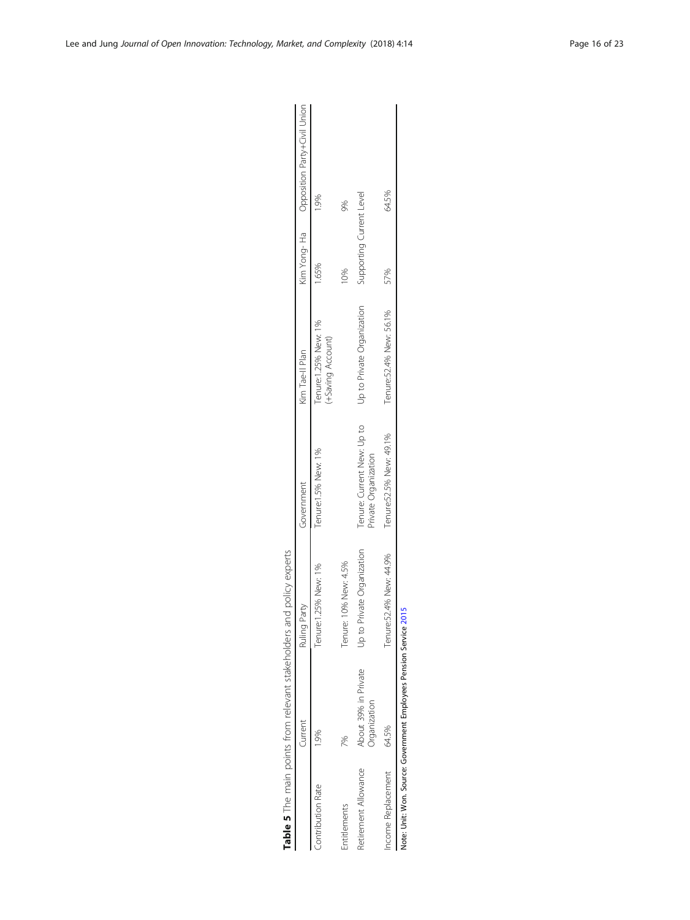<span id="page-15-0"></span>

|                          |                                                                    | Table 5 The main points from relevant stakeholders and policy experts |                                                    |                                           |                          |                                             |
|--------------------------|--------------------------------------------------------------------|-----------------------------------------------------------------------|----------------------------------------------------|-------------------------------------------|--------------------------|---------------------------------------------|
|                          | Current                                                            | Ruling Party                                                          | Government                                         | Kim Tae-Il Plan                           |                          | Kim Yong-Ha<br>Opposition Party+Civil Union |
| <b>Contribution Rate</b> |                                                                    | 25% New: 1%<br>lenure:1                                               | Tenure:1.5% New: 1%                                | Tenure:1.25% New: 1%<br>(+Saving Account) | 1.65%                    |                                             |
| Entitlements             |                                                                    | 10% New: 45%<br>Tenure:                                               |                                                    |                                           | 10%                      | 9%                                          |
| Retirement Allowance     | About 39% in Private<br>Organization                               | Up to Private Organization                                            | Tenure: Current New: Up to<br>Private Organization | Up to Private Organization                | Supporting Current Level |                                             |
| ncome Replacement        | 64.5%                                                              | Tenure:52.4% New: 44.9%                                               | Tenure:52.5% New: 49.1%                            | Tenure:52.4% New: 56.1%                   | 57%                      | 64.5%                                       |
|                          | Note: Unit: Won. Source: Government Employees Pension Service 2015 |                                                                       |                                                    |                                           |                          |                                             |

| I                           |
|-----------------------------|
|                             |
|                             |
| $\sim$ $\sim$ $\sim$ $\sim$ |
|                             |
|                             |
| Ī<br>δ                      |
|                             |
|                             |
|                             |
|                             |
|                             |
|                             |
|                             |
|                             |
|                             |
|                             |
|                             |
|                             |
|                             |
|                             |
|                             |
|                             |
|                             |
|                             |
|                             |
|                             |
|                             |
|                             |
| .<br>.<br>.<br>.            |
| l                           |
| į                           |
|                             |
|                             |
|                             |
| I                           |
|                             |
|                             |
|                             |
|                             |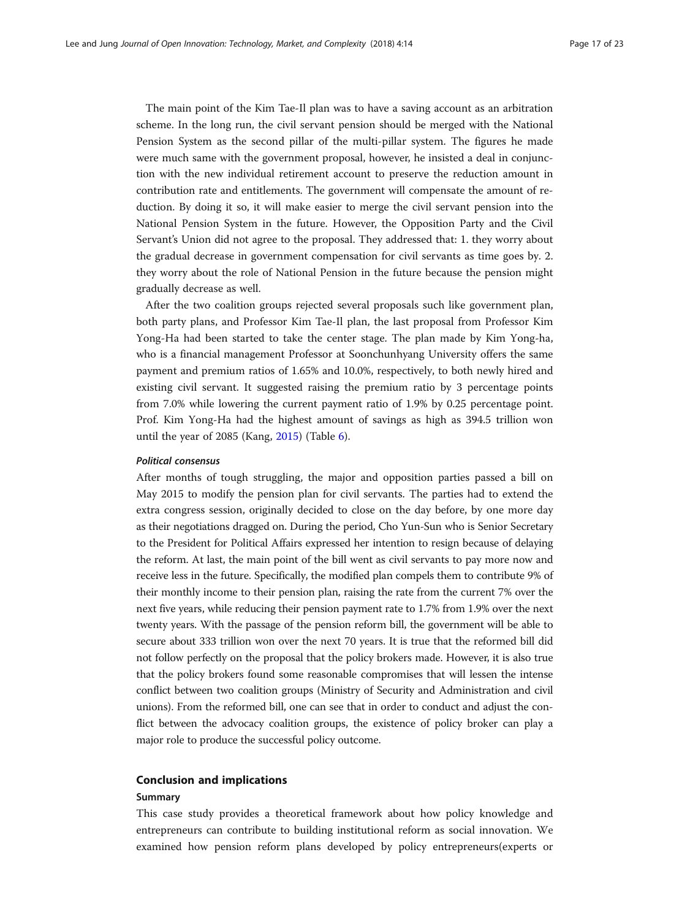The main point of the Kim Tae-Il plan was to have a saving account as an arbitration scheme. In the long run, the civil servant pension should be merged with the National Pension System as the second pillar of the multi-pillar system. The figures he made were much same with the government proposal, however, he insisted a deal in conjunction with the new individual retirement account to preserve the reduction amount in contribution rate and entitlements. The government will compensate the amount of reduction. By doing it so, it will make easier to merge the civil servant pension into the National Pension System in the future. However, the Opposition Party and the Civil Servant's Union did not agree to the proposal. They addressed that: 1. they worry about the gradual decrease in government compensation for civil servants as time goes by. 2. they worry about the role of National Pension in the future because the pension might gradually decrease as well.

After the two coalition groups rejected several proposals such like government plan, both party plans, and Professor Kim Tae-Il plan, the last proposal from Professor Kim Yong-Ha had been started to take the center stage. The plan made by Kim Yong-ha, who is a financial management Professor at Soonchunhyang University offers the same payment and premium ratios of 1.65% and 10.0%, respectively, to both newly hired and existing civil servant. It suggested raising the premium ratio by 3 percentage points from 7.0% while lowering the current payment ratio of 1.9% by 0.25 percentage point. Prof. Kim Yong-Ha had the highest amount of savings as high as 394.5 trillion won until the year of 2085 (Kang, [2015\)](#page-21-0) (Table [6](#page-17-0)).

## Political consensus

After months of tough struggling, the major and opposition parties passed a bill on May 2015 to modify the pension plan for civil servants. The parties had to extend the extra congress session, originally decided to close on the day before, by one more day as their negotiations dragged on. During the period, Cho Yun-Sun who is Senior Secretary to the President for Political Affairs expressed her intention to resign because of delaying the reform. At last, the main point of the bill went as civil servants to pay more now and receive less in the future. Specifically, the modified plan compels them to contribute 9% of their monthly income to their pension plan, raising the rate from the current 7% over the next five years, while reducing their pension payment rate to 1.7% from 1.9% over the next twenty years. With the passage of the pension reform bill, the government will be able to secure about 333 trillion won over the next 70 years. It is true that the reformed bill did not follow perfectly on the proposal that the policy brokers made. However, it is also true that the policy brokers found some reasonable compromises that will lessen the intense conflict between two coalition groups (Ministry of Security and Administration and civil unions). From the reformed bill, one can see that in order to conduct and adjust the conflict between the advocacy coalition groups, the existence of policy broker can play a major role to produce the successful policy outcome.

## Conclusion and implications

#### Summary

This case study provides a theoretical framework about how policy knowledge and entrepreneurs can contribute to building institutional reform as social innovation. We examined how pension reform plans developed by policy entrepreneurs(experts or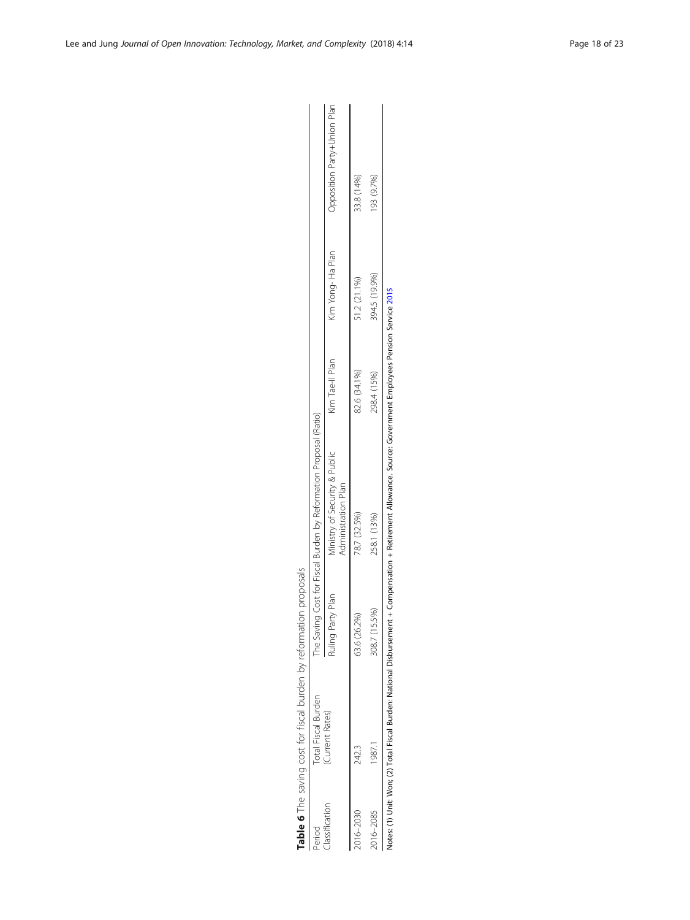<span id="page-17-0"></span>

| Period                | <b>Total Fiscal Burden</b> |                   | The Saving Cost for Fiscal Burden by Reformation Proposal (Ratio)                                                                                             |                 |                  |                             |
|-----------------------|----------------------------|-------------------|---------------------------------------------------------------------------------------------------------------------------------------------------------------|-----------------|------------------|-----------------------------|
| <b>Classification</b> | Current Rates)             | tuling Party Plan | Ministry of Security & Public<br>Administration Plan                                                                                                          | Kim Tae-II Plan | Kim Yong-Ha Plan | Opposition Party+Union Plan |
| $016 - 2030$          | 242.3                      | 63.6 (26.2%)      | 78.7 (32.5%)                                                                                                                                                  | 82.6 (34.1%)    | 51.2 (21.1%)     | 33.8 (14%)                  |
| 016-2085              | 1987.1                     | 308.7 (15.5%)     | 258.1 (13%)                                                                                                                                                   | 298.4 (15%)     | 394.5 (19.9%)    | 193 (9.7%)                  |
|                       |                            |                   | lotes: (1) Unit: Won; (2) Total Fiscal Burden: National Disbursement + Compensation + Retirement Allowance: Source: Government Employees Pension Service 2015 |                 |                  |                             |

| l<br>j<br>Ï<br>¢<br>١<br>I<br>ļ<br>I              |
|---------------------------------------------------|
| ì<br>ļ<br>¢<br>Ì<br>Í                             |
| ï<br>l<br>j<br>ï<br>ļ<br>ŝ                        |
| I<br>I<br>j                                       |
| j<br>I<br>ļ                                       |
| Ò<br>j<br>5<br>j<br>Ï                             |
|                                                   |
| ï<br>ï<br>ļ<br>j<br>ţ<br>١                        |
| Ì<br>١                                            |
| $\frac{1}{3}$<br>j<br>j<br>$\mathbf{r}$<br>ļ<br>J |
| Ì<br>j<br>l<br>l<br>¢                             |
| ¢<br>1<br>1<br>ï<br>I<br><b>STATE</b>             |
|                                                   |
| I<br>ı<br>l<br>l                                  |
|                                                   |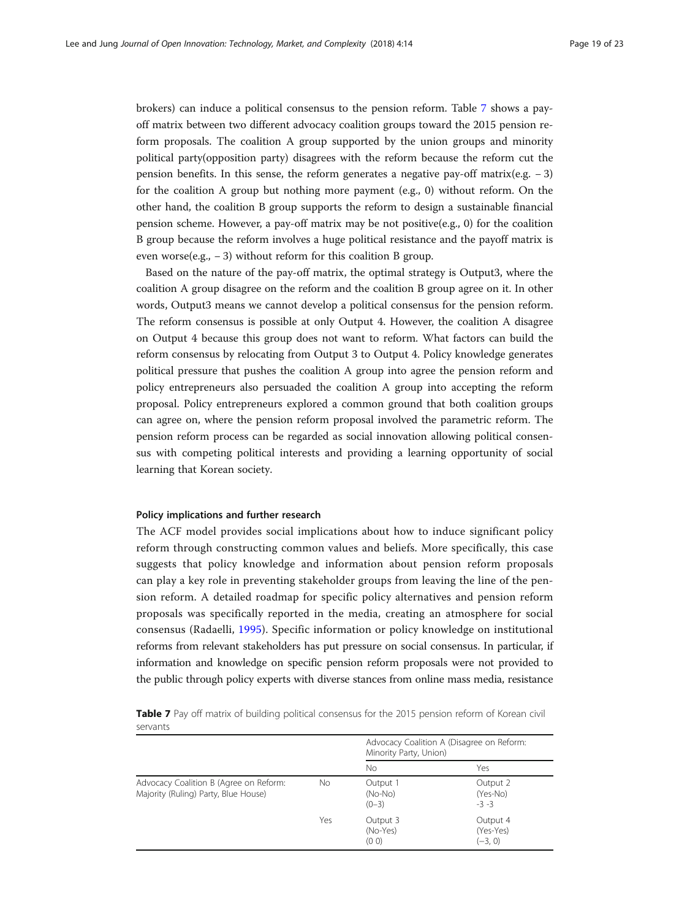brokers) can induce a political consensus to the pension reform. Table 7 shows a payoff matrix between two different advocacy coalition groups toward the 2015 pension reform proposals. The coalition A group supported by the union groups and minority political party(opposition party) disagrees with the reform because the reform cut the pension benefits. In this sense, the reform generates a negative pay-off matrix(e.g.  $-3$ ) for the coalition A group but nothing more payment (e.g., 0) without reform. On the other hand, the coalition B group supports the reform to design a sustainable financial pension scheme. However, a pay-off matrix may be not positive(e.g., 0) for the coalition B group because the reform involves a huge political resistance and the payoff matrix is even worse(e.g., − 3) without reform for this coalition B group.

Based on the nature of the pay-off matrix, the optimal strategy is Output3, where the coalition A group disagree on the reform and the coalition B group agree on it. In other words, Output3 means we cannot develop a political consensus for the pension reform. The reform consensus is possible at only Output 4. However, the coalition A disagree on Output 4 because this group does not want to reform. What factors can build the reform consensus by relocating from Output 3 to Output 4. Policy knowledge generates political pressure that pushes the coalition A group into agree the pension reform and policy entrepreneurs also persuaded the coalition A group into accepting the reform proposal. Policy entrepreneurs explored a common ground that both coalition groups can agree on, where the pension reform proposal involved the parametric reform. The pension reform process can be regarded as social innovation allowing political consensus with competing political interests and providing a learning opportunity of social learning that Korean society.

## Policy implications and further research

The ACF model provides social implications about how to induce significant policy reform through constructing common values and beliefs. More specifically, this case suggests that policy knowledge and information about pension reform proposals can play a key role in preventing stakeholder groups from leaving the line of the pension reform. A detailed roadmap for specific policy alternatives and pension reform proposals was specifically reported in the media, creating an atmosphere for social consensus (Radaelli, [1995](#page-21-0)). Specific information or policy knowledge on institutional reforms from relevant stakeholders has put pressure on social consensus. In particular, if information and knowledge on specific pension reform proposals were not provided to the public through policy experts with diverse stances from online mass media, resistance

**Table 7** Pay off matrix of building political consensus for the 2015 pension reform of Korean civil servants

|                                                                                |     | Minority Party, Union)           | Advocacy Coalition A (Disagree on Reform: |
|--------------------------------------------------------------------------------|-----|----------------------------------|-------------------------------------------|
|                                                                                |     | No                               | Yes                                       |
| Advocacy Coalition B (Agree on Reform:<br>Majority (Ruling) Party, Blue House) | No  | Output 1<br>$(No-No)$<br>$(0-3)$ | Output 2<br>(Yes-No)<br>$-3 -3$           |
|                                                                                | Yes | Output 3<br>(No-Yes)<br>(0 0)    | Output 4<br>(Yes-Yes)<br>$(-3, 0)$        |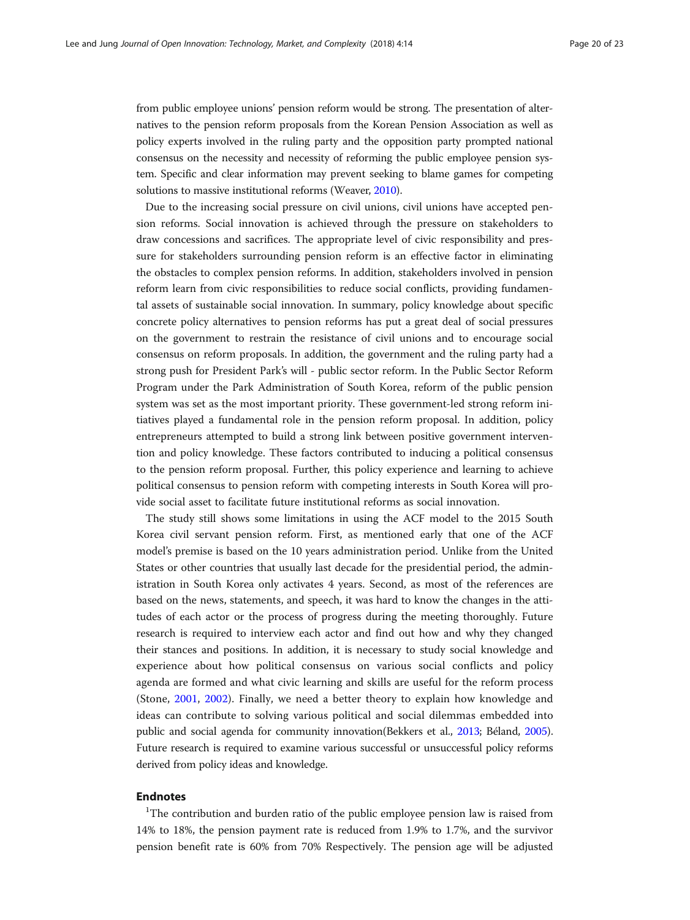from public employee unions' pension reform would be strong. The presentation of alternatives to the pension reform proposals from the Korean Pension Association as well as policy experts involved in the ruling party and the opposition party prompted national consensus on the necessity and necessity of reforming the public employee pension system. Specific and clear information may prevent seeking to blame games for competing solutions to massive institutional reforms (Weaver, [2010](#page-22-0)).

Due to the increasing social pressure on civil unions, civil unions have accepted pension reforms. Social innovation is achieved through the pressure on stakeholders to draw concessions and sacrifices. The appropriate level of civic responsibility and pressure for stakeholders surrounding pension reform is an effective factor in eliminating the obstacles to complex pension reforms. In addition, stakeholders involved in pension reform learn from civic responsibilities to reduce social conflicts, providing fundamental assets of sustainable social innovation. In summary, policy knowledge about specific concrete policy alternatives to pension reforms has put a great deal of social pressures on the government to restrain the resistance of civil unions and to encourage social consensus on reform proposals. In addition, the government and the ruling party had a strong push for President Park's will - public sector reform. In the Public Sector Reform Program under the Park Administration of South Korea, reform of the public pension system was set as the most important priority. These government-led strong reform initiatives played a fundamental role in the pension reform proposal. In addition, policy entrepreneurs attempted to build a strong link between positive government intervention and policy knowledge. These factors contributed to inducing a political consensus to the pension reform proposal. Further, this policy experience and learning to achieve political consensus to pension reform with competing interests in South Korea will provide social asset to facilitate future institutional reforms as social innovation.

The study still shows some limitations in using the ACF model to the 2015 South Korea civil servant pension reform. First, as mentioned early that one of the ACF model's premise is based on the 10 years administration period. Unlike from the United States or other countries that usually last decade for the presidential period, the administration in South Korea only activates 4 years. Second, as most of the references are based on the news, statements, and speech, it was hard to know the changes in the attitudes of each actor or the process of progress during the meeting thoroughly. Future research is required to interview each actor and find out how and why they changed their stances and positions. In addition, it is necessary to study social knowledge and experience about how political consensus on various social conflicts and policy agenda are formed and what civic learning and skills are useful for the reform process (Stone, [2001,](#page-22-0) [2002\)](#page-22-0). Finally, we need a better theory to explain how knowledge and ideas can contribute to solving various political and social dilemmas embedded into public and social agenda for community innovation(Bekkers et al., [2013](#page-21-0); Béland, [2005](#page-21-0)). Future research is required to examine various successful or unsuccessful policy reforms derived from policy ideas and knowledge.

## Endnotes

<sup>1</sup>The contribution and burden ratio of the public employee pension law is raised from 14% to 18%, the pension payment rate is reduced from 1.9% to 1.7%, and the survivor pension benefit rate is 60% from 70% Respectively. The pension age will be adjusted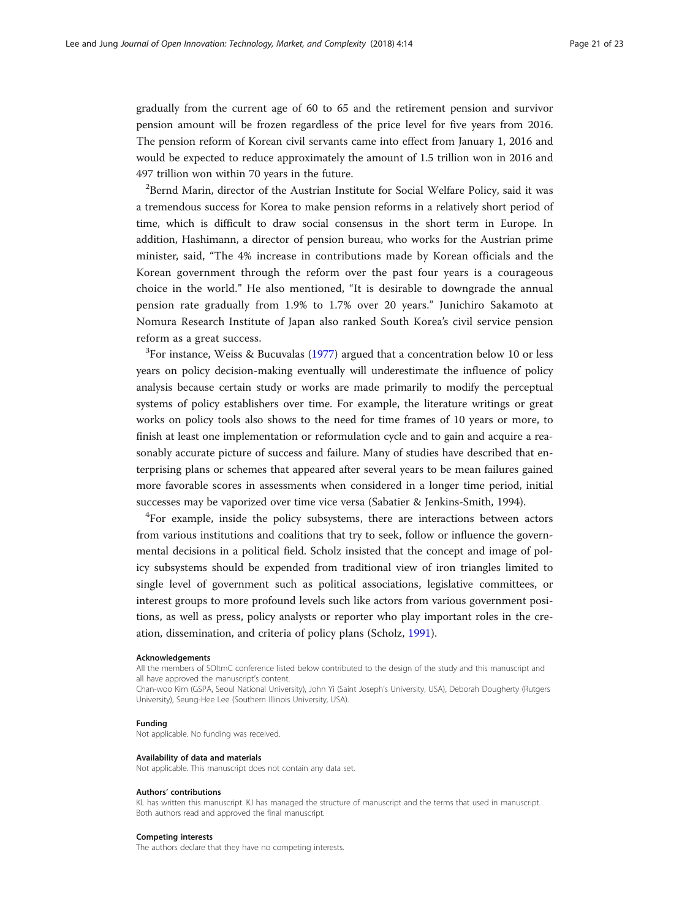gradually from the current age of 60 to 65 and the retirement pension and survivor pension amount will be frozen regardless of the price level for five years from 2016. The pension reform of Korean civil servants came into effect from January 1, 2016 and would be expected to reduce approximately the amount of 1.5 trillion won in 2016 and 497 trillion won within 70 years in the future.

 $^{2}$ Bernd Marin, director of the Austrian Institute for Social Welfare Policy, said it was a tremendous success for Korea to make pension reforms in a relatively short period of time, which is difficult to draw social consensus in the short term in Europe. In addition, Hashimann, a director of pension bureau, who works for the Austrian prime minister, said, "The 4% increase in contributions made by Korean officials and the Korean government through the reform over the past four years is a courageous choice in the world." He also mentioned, "It is desirable to downgrade the annual pension rate gradually from 1.9% to 1.7% over 20 years." Junichiro Sakamoto at Nomura Research Institute of Japan also ranked South Korea's civil service pension reform as a great success.

 $3$ For instance, Weiss & Bucuvalas [\(1977\)](#page-22-0) argued that a concentration below 10 or less years on policy decision-making eventually will underestimate the influence of policy analysis because certain study or works are made primarily to modify the perceptual systems of policy establishers over time. For example, the literature writings or great works on policy tools also shows to the need for time frames of 10 years or more, to finish at least one implementation or reformulation cycle and to gain and acquire a reasonably accurate picture of success and failure. Many of studies have described that enterprising plans or schemes that appeared after several years to be mean failures gained more favorable scores in assessments when considered in a longer time period, initial successes may be vaporized over time vice versa (Sabatier & Jenkins-Smith, 1994).

<sup>4</sup>For example, inside the policy subsystems, there are interactions between actors from various institutions and coalitions that try to seek, follow or influence the governmental decisions in a political field. Scholz insisted that the concept and image of policy subsystems should be expended from traditional view of iron triangles limited to single level of government such as political associations, legislative committees, or interest groups to more profound levels such like actors from various government positions, as well as press, policy analysts or reporter who play important roles in the creation, dissemination, and criteria of policy plans (Scholz, [1991](#page-22-0)).

#### Acknowledgements

All the members of SOItmC conference listed below contributed to the design of the study and this manuscript and all have approved the manuscript's content.

Chan-woo Kim (GSPA, Seoul National University), John Yi (Saint Joseph's University, USA), Deborah Dougherty (Rutgers University), Seung-Hee Lee (Southern Illinois University, USA).

#### Funding

Not applicable. No funding was received.

#### Availability of data and materials

Not applicable. This manuscript does not contain any data set.

#### Authors' contributions

KL has written this manuscript. KJ has managed the structure of manuscript and the terms that used in manuscript. Both authors read and approved the final manuscript.

#### Competing interests

The authors declare that they have no competing interests.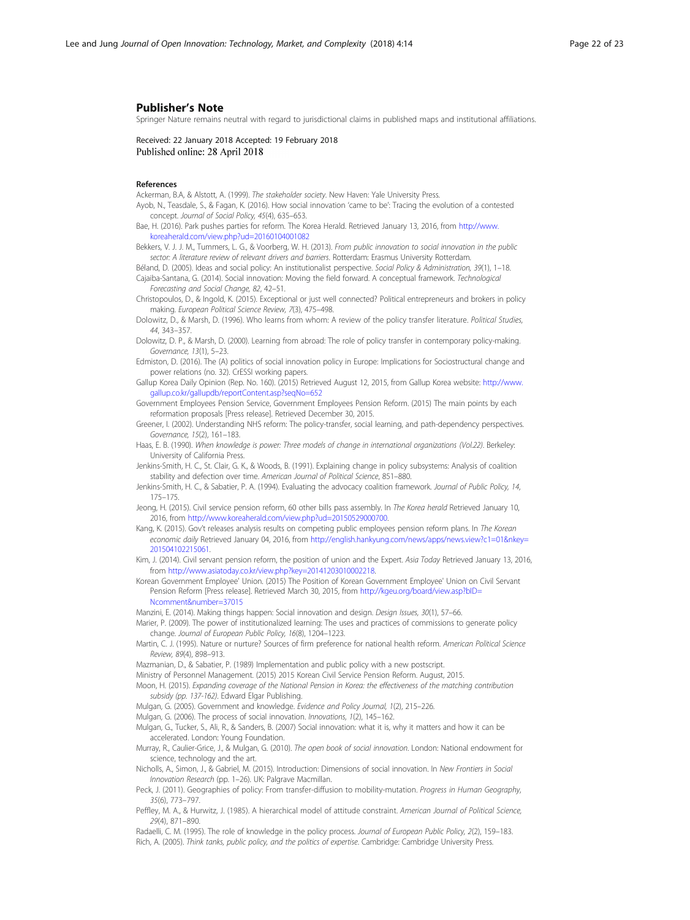### <span id="page-21-0"></span>Publisher's Note

Springer Nature remains neutral with regard to jurisdictional claims in published maps and institutional affiliations.

Received: 22 January 2018 Accepted: 19 February 2018 Published online: 28 April 2018

#### References

Ackerman, B.A, & Alstott, A. (1999). The stakeholder society. New Haven: Yale University Press.

Ayob, N., Teasdale, S., & Fagan, K. (2016). How social innovation 'came to be': Tracing the evolution of a contested concept. Journal of Social Policy, 45(4), 635–653.

Bae, H. (2016). Park pushes parties for reform. The Korea Herald. Retrieved January 13, 2016, from [http://www.](http://www.koreaherald.com/view.php?ud=20160104001082) [koreaherald.com/view.php?ud=20160104001082](http://www.koreaherald.com/view.php?ud=20160104001082)

Bekkers, V. J. J. M., Tummers, L. G., & Voorberg, W. H. (2013). From public innovation to social innovation in the public sector: A literature review of relevant drivers and barriers. Rotterdam: Erasmus University Rotterdam.

Béland, D. (2005). Ideas and social policy: An institutionalist perspective. Social Policy & Administration, 39(1), 1–18. Cajaiba-Santana, G. (2014). Social innovation: Moving the field forward. A conceptual framework. Technological Forecasting and Social Change, 82, 42–51.

Christopoulos, D., & Ingold, K. (2015). Exceptional or just well connected? Political entrepreneurs and brokers in policy making. European Political Science Review, 7(3), 475–498.

Dolowitz, D., & Marsh, D. (1996). Who learns from whom: A review of the policy transfer literature. Political Studies, 44, 343–357.

Dolowitz, D. P., & Marsh, D. (2000). Learning from abroad: The role of policy transfer in contemporary policy-making. Governance, 13(1), 5–23.

Edmiston, D. (2016). The (A) politics of social innovation policy in Europe: Implications for Sociostructural change and power relations (no. 32). CrESSI working papers.

Gallup Korea Daily Opinion (Rep. No. 160). (2015) Retrieved August 12, 2015, from Gallup Korea website: [http://www.](http://www.gallup.co.kr/gallupdb/reportContent.asp?seqNo=652) [gallup.co.kr/gallupdb/reportContent.asp?seqNo=652](http://www.gallup.co.kr/gallupdb/reportContent.asp?seqNo=652)

Government Employees Pension Service, Government Employees Pension Reform. (2015) The main points by each reformation proposals [Press release]. Retrieved December 30, 2015.

Greener, I. (2002). Understanding NHS reform: The policy-transfer, social learning, and path-dependency perspectives. Governance, 15(2), 161–183.

Haas, E. B. (1990). When knowledge is power: Three models of change in international organizations (Vol.22). Berkeley: University of California Press.

Jenkins-Smith, H. C., St. Clair, G. K., & Woods, B. (1991). Explaining change in policy subsystems: Analysis of coalition stability and defection over time. American Journal of Political Science, 851–880.

- Jenkins-Smith, H. C., & Sabatier, P. A. (1994). Evaluating the advocacy coalition framework. Journal of Public Policy, 14, 175–175.
- Jeong, H. (2015). Civil service pension reform, 60 other bills pass assembly. In The Korea herald Retrieved January 10, 2016, from [http://www.koreaherald.com/view.php?ud=20150529000700.](http://www.koreaherald.com/view.php?ud=20150529000700)
- Kang, K. (2015). Gov't releases analysis results on competing public employees pension reform plans. In The Korean economic daily Retrieved January 04, 2016, from [http://english.hankyung.com/news/apps/news.view?c1=01&nkey=](http://english.hankyung.com/news/apps/news.view?c1=01&nkey=201504102215061) [201504102215061.](http://english.hankyung.com/news/apps/news.view?c1=01&nkey=201504102215061)

Kim, J. (2014). Civil servant pension reform, the position of union and the Expert. Asia Today Retrieved January 13, 2016, from <http://www.asiatoday.co.kr/view.php?key=20141203010002218>.

Korean Government Employee' Union. (2015) The Position of Korean Government Employee' Union on Civil Servant Pension Reform [Press release]. Retrieved March 30, 2015, from [http://kgeu.org/board/view.asp?bID=](http://kgeu.org/board/view.asp?bID=Ncomment&number=37015) [Ncomment&number=37015](http://kgeu.org/board/view.asp?bID=Ncomment&number=37015)

Manzini, E. (2014). Making things happen: Social innovation and design. Design Issues, 30(1), 57–66.

Marier, P. (2009). The power of institutionalized learning: The uses and practices of commissions to generate policy change. Journal of European Public Policy, 16(8), 1204–1223.

Martin, C. J. (1995). Nature or nurture? Sources of firm preference for national health reform. American Political Science Review, 89(4), 898–913.

Mazmanian, D., & Sabatier, P. (1989) Implementation and public policy with a new postscript.

Ministry of Personnel Management. (2015) 2015 Korean Civil Service Pension Reform. August, 2015.

Moon, H. (2015). Expanding coverage of the National Pension in Korea: the effectiveness of the matching contribution subsidy (pp. 137-162). Edward Elgar Publishing.

Mulgan, G. (2005). Government and knowledge. Evidence and Policy Journal, 1(2), 215–226.

Mulgan, G. (2006). The process of social innovation. Innovations, 1(2), 145–162.

Mulgan, G., Tucker, S., Ali, R., & Sanders, B. (2007) Social innovation: what it is, why it matters and how it can be accelerated. London: Young Foundation.

Murray, R., Caulier-Grice, J., & Mulgan, G. (2010). The open book of social innovation. London: National endowment for science, technology and the art.

Nicholls, A., Simon, J., & Gabriel, M. (2015). Introduction: Dimensions of social innovation. In New Frontiers in Social Innovation Research (pp. 1–26). UK: Palgrave Macmillan.

Peck, J. (2011). Geographies of policy: From transfer-diffusion to mobility-mutation. Progress in Human Geography, 35(6), 773–797.

Peffley, M. A., & Hurwitz, J. (1985). A hierarchical model of attitude constraint. American Journal of Political Science, 29(4), 871–890.

Radaelli, C. M. (1995). The role of knowledge in the policy process. Journal of European Public Policy, 2(2), 159-183. Rich, A. (2005). Think tanks, public policy, and the politics of expertise. Cambridge: Cambridge University Press.